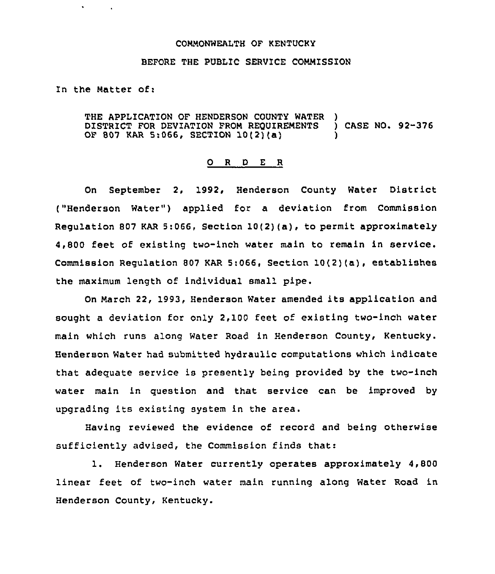## COMMONWEALTH OF KENTUCKY

## BEFORE THE PUBLIC SERVICE COMMISSION

In the Matter of:

 $\mathbf{v}$ 

THE APPLICATION OF HENDERSON COUNTY WATER )<br>DISTRICT FOR DEVIATION FROM REQUIREMENTS ) CASE NO. 92-376 DISTRICT FOR DEVIATION FROM REQUIREMENTS OF 807 KAR 5:066, SECTION 10(2}(a) )

## 0 <sup>R</sup> <sup>D</sup> <sup>E</sup> <sup>R</sup>

On September 2, 1992, Henderson County Water District ("Henderson Water") applied for a deviation from Commission Regulation 807 KAR 5:066, Section  $10(2)(a)$ , to permit approximately 4,800 feet of existing two-inch water main to remain in service. Commission Regulation <sup>807</sup> KAR 5:066, Section 10(2)(a), establishes the maximum length of individual small pipe.

On March 22, 1993, Henderson Water amended its application and sought a deviation for only 2,100 feet of existing two-inch water main which runs along Water Road in Henderson County, Kentucky. Henderson Water had submitted hydraulic computations which indicate that adequate service is presently being provided by the two-inch water main in question and that service can be improved by upgrading its existing system in the area.

Having reviewed the evidence of record and being otherwise sufficiently advised, the Commission finds that:

1. Henderson Water currently operates approximately 4,800 linear feet of two-inch water main running along Water Road in Henderson County, Kentucky.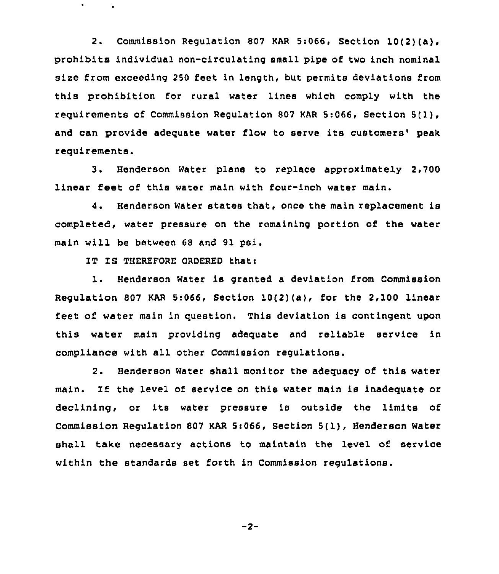2. Commission Regulation <sup>807</sup> KAR 5:066, Section 10(2)(a), prohibits individual non-circulating small pipe of two inch nominal size from exceeding 250 feet in length, but permits deviations from this prohibition for rural water lines which comply with the requirements of Commission Regulation 807 KAR 5:066, Section 5(1), and can provide adequate water flow to serve its customers' peak requirements.

3. Henderson Water plane to replace approximately 2,700 linear feet of this water main with four-inch water main.

4. Henderson Water states that, once the main replacement is completed, water pressure on the remaining portion of the water main will be between 68 and 91 psi.

IT IS THEREFORE ORDERED that:

 $\bullet$ 

1. Henderson Water is granted <sup>a</sup> deviation from Commission Regulation 807 KAR 5:066, Section 10(2)(a), for the 2,100 linear feet of water main in question. This deviation is contingent upon this water main providing adequate and reliable service in compliance with all other Commission regulations.

2. Henderson Water shall monitor the adequacy of this water main. If the level of service on this water main is inadequate or declining, or its water pressure is outside the limits of Commission Regulation <sup>807</sup> KAR 5:066, Section 5( 1), Henderson Water shall take necessary actions to maintain the level of service within the standards set forth in Commission regulations.

 $-2-$